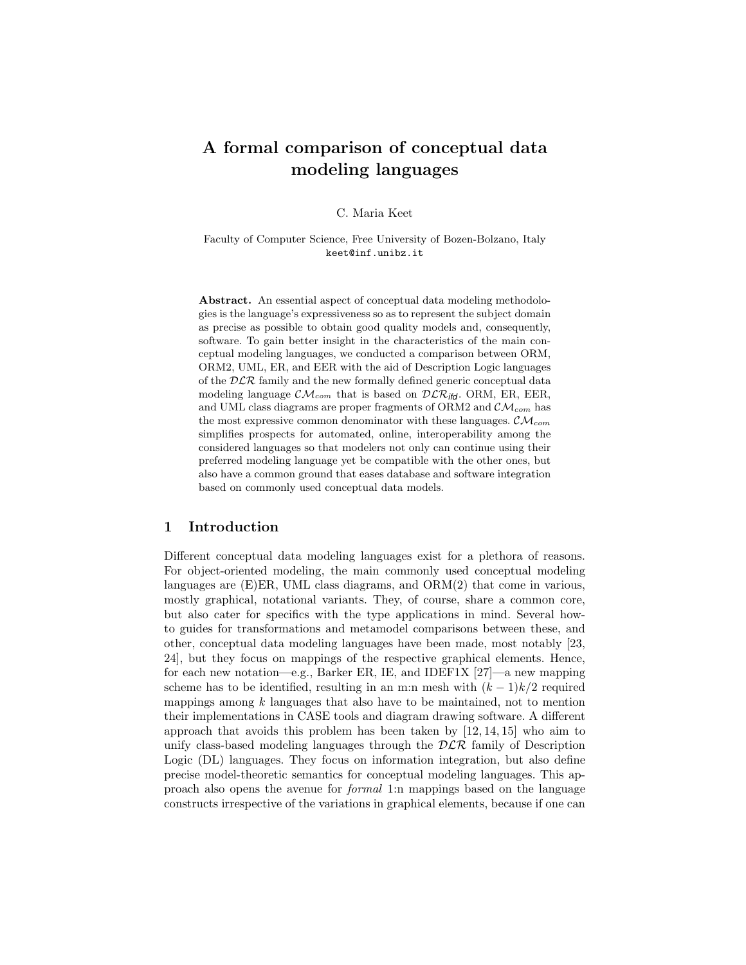# A formal comparison of conceptual data modeling languages

C. Maria Keet

Faculty of Computer Science, Free University of Bozen-Bolzano, Italy keet@inf.unibz.it

Abstract. An essential aspect of conceptual data modeling methodologies is the language's expressiveness so as to represent the subject domain as precise as possible to obtain good quality models and, consequently, software. To gain better insight in the characteristics of the main conceptual modeling languages, we conducted a comparison between ORM, ORM2, UML, ER, and EER with the aid of Description Logic languages of the  $DLR$  family and the new formally defined generic conceptual data modeling language  $\mathcal{CM}_{com}$  that is based on  $\mathcal{DLR}_{ifd}$ . ORM, ER, EER, and UML class diagrams are proper fragments of ORM2 and  $\mathcal{CM}_{com}$  has the most expressive common denominator with these languages.  $\mathcal{CM}_{com}$ simplifies prospects for automated, online, interoperability among the considered languages so that modelers not only can continue using their preferred modeling language yet be compatible with the other ones, but also have a common ground that eases database and software integration based on commonly used conceptual data models.

#### 1 Introduction

Different conceptual data modeling languages exist for a plethora of reasons. For object-oriented modeling, the main commonly used conceptual modeling languages are (E)ER, UML class diagrams, and ORM(2) that come in various, mostly graphical, notational variants. They, of course, share a common core, but also cater for specifics with the type applications in mind. Several howto guides for transformations and metamodel comparisons between these, and other, conceptual data modeling languages have been made, most notably [23, 24], but they focus on mappings of the respective graphical elements. Hence, for each new notation—e.g., Barker ER, IE, and IDEF1X [27]—a new mapping scheme has to be identified, resulting in an m:n mesh with  $(k-1)k/2$  required mappings among  $k$  languages that also have to be maintained, not to mention their implementations in CASE tools and diagram drawing software. A different approach that avoids this problem has been taken by [12, 14, 15] who aim to unify class-based modeling languages through the  $D\mathcal{LR}$  family of Description Logic (DL) languages. They focus on information integration, but also define precise model-theoretic semantics for conceptual modeling languages. This approach also opens the avenue for formal 1:n mappings based on the language constructs irrespective of the variations in graphical elements, because if one can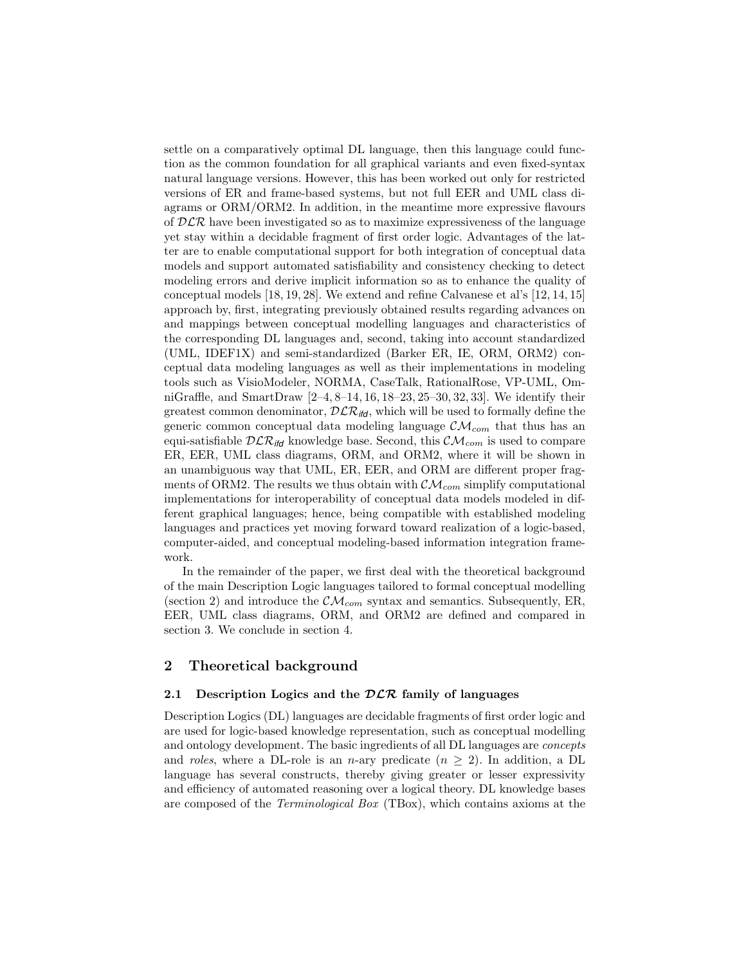settle on a comparatively optimal DL language, then this language could function as the common foundation for all graphical variants and even fixed-syntax natural language versions. However, this has been worked out only for restricted versions of ER and frame-based systems, but not full EER and UML class diagrams or ORM/ORM2. In addition, in the meantime more expressive flavours of  $DLR$  have been investigated so as to maximize expressiveness of the language yet stay within a decidable fragment of first order logic. Advantages of the latter are to enable computational support for both integration of conceptual data models and support automated satisfiability and consistency checking to detect modeling errors and derive implicit information so as to enhance the quality of conceptual models [18, 19, 28]. We extend and refine Calvanese et al's [12, 14, 15] approach by, first, integrating previously obtained results regarding advances on and mappings between conceptual modelling languages and characteristics of the corresponding DL languages and, second, taking into account standardized (UML, IDEF1X) and semi-standardized (Barker ER, IE, ORM, ORM2) conceptual data modeling languages as well as their implementations in modeling tools such as VisioModeler, NORMA, CaseTalk, RationalRose, VP-UML, OmniGraffle, and SmartDraw [2–4, 8–14, 16, 18–23, 25–30, 32, 33]. We identify their greatest common denominator,  $\mathcal{DLR}_{\mathit{lfd}}$ , which will be used to formally define the generic common conceptual data modeling language  $\mathcal{CM}_{com}$  that thus has an equi-satisfiable  $DLR_{\text{ifd}}$  knowledge base. Second, this  $CM_{com}$  is used to compare ER, EER, UML class diagrams, ORM, and ORM2, where it will be shown in an unambiguous way that UML, ER, EER, and ORM are different proper fragments of ORM2. The results we thus obtain with  $\mathcal{CM}_{com}$  simplify computational implementations for interoperability of conceptual data models modeled in different graphical languages; hence, being compatible with established modeling languages and practices yet moving forward toward realization of a logic-based, computer-aided, and conceptual modeling-based information integration framework.

In the remainder of the paper, we first deal with the theoretical background of the main Description Logic languages tailored to formal conceptual modelling (section 2) and introduce the  $\mathcal{CM}_{com}$  syntax and semantics. Subsequently, ER, EER, UML class diagrams, ORM, and ORM2 are defined and compared in section 3. We conclude in section 4.

# 2 Theoretical background

#### 2.1 Description Logics and the  $DLR$  family of languages

Description Logics (DL) languages are decidable fragments of first order logic and are used for logic-based knowledge representation, such as conceptual modelling and ontology development. The basic ingredients of all DL languages are concepts and *roles*, where a DL-role is an *n*-ary predicate  $(n \geq 2)$ . In addition, a DL language has several constructs, thereby giving greater or lesser expressivity and efficiency of automated reasoning over a logical theory. DL knowledge bases are composed of the Terminological Box (TBox), which contains axioms at the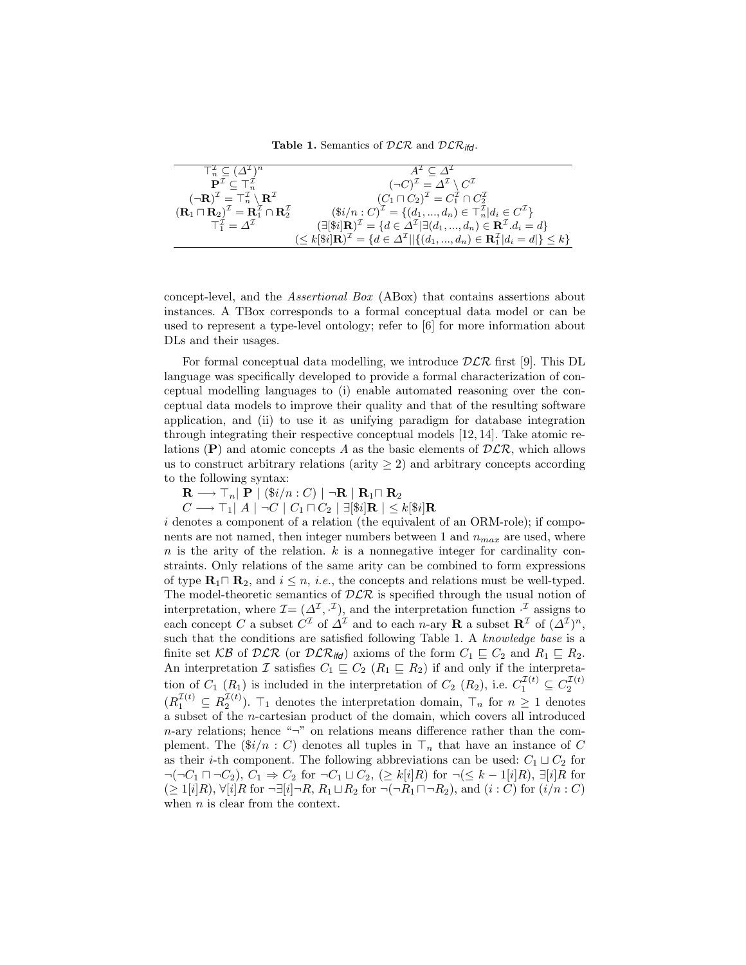Table 1. Semantics of  $DLR$  and  $DLR$ <sub>ifd</sub>.

| $\top_n^{\mathcal{I}} \subseteq (\Delta^{\mathcal{I}})^n$                                                       | $A^{\perp} \subset \Delta^{\perp}$                                                                                                              |
|-----------------------------------------------------------------------------------------------------------------|-------------------------------------------------------------------------------------------------------------------------------------------------|
| $\mathbf{P}^\mathcal{I} \subseteq \top_n^\mathcal{I}$                                                           | $(\neg C)^{\mathcal{I}} = \Delta^{\mathcal{I}} \setminus C^{\mathcal{I}}$                                                                       |
| $(\neg \mathbf{R})^{\mathcal{I}} = \top_n^{\mathcal{I}} \setminus \mathbf{R}^{\mathcal{I}}$                     | $(C_1 \sqcap C_2)^{\mathcal{I}} = C_1^{\mathcal{I}} \cap C_2^{\mathcal{I}}$                                                                     |
| $(\mathbf{R}_1 \sqcap \mathbf{R}_2)^{\mathcal{I}} = \mathbf{R}_1^{\mathcal{I}} \cap \mathbf{R}_2^{\mathcal{I}}$ | $(\$i/n : C)^{\mathcal{I}} = \{(d_1, , d_n) \in \top_n^{\mathcal{I}}   d_i \in C^{\mathcal{I}}\}\$                                              |
| $T_1^{\mathcal{I}} = \Lambda^{\mathcal{I}}$                                                                     | $(\exists [\$i] \mathbf{R})^{\mathcal{I}} = \{d \in \Delta^{\mathcal{I}}   \exists (d_1, , d_n) \in \mathbf{R}^{\mathcal{I}}. d_i = d\}$        |
|                                                                                                                 | $(\leq k[\$i] \mathbf{R})^{\mathcal{I}} = \{d \in \Delta^{\mathcal{I}}    \{(d_1, , d_n) \in \mathbf{R}_1^{\mathcal{I}}   d_i = d  \} \leq k\}$ |

concept-level, and the Assertional Box (ABox) that contains assertions about instances. A TBox corresponds to a formal conceptual data model or can be used to represent a type-level ontology; refer to [6] for more information about DLs and their usages.

For formal conceptual data modelling, we introduce  $D\mathcal{LR}$  first [9]. This DL language was specifically developed to provide a formal characterization of conceptual modelling languages to (i) enable automated reasoning over the conceptual data models to improve their quality and that of the resulting software application, and (ii) to use it as unifying paradigm for database integration through integrating their respective conceptual models [12, 14]. Take atomic relations (P) and atomic concepts A as the basic elements of  $DLR$ , which allows us to construct arbitrary relations (arity  $\geq$  2) and arbitrary concepts according to the following syntax:

 $\mathbf{R} \longrightarrow \mathsf{T}_n |\mathbf{P}| (\$i/n : C) |\neg \mathbf{R} | \mathbf{R}_1 \sqcap \mathbf{R}_2$ 

 $C\longrightarrow \top_1\mid A\mid\neg C\mid C_1\sqcap C_2\mid\exists[\$\boldsymbol{i}]\mathbf{R}\mid\ \leq k[\$\boldsymbol{i}]\mathbf{R}$ 

i denotes a component of a relation (the equivalent of an ORM-role); if components are not named, then integer numbers between 1 and  $n_{max}$  are used, where  $n$  is the arity of the relation.  $k$  is a nonnegative integer for cardinality constraints. Only relations of the same arity can be combined to form expressions of type  $\mathbf{R}_1 \cap \mathbf{R}_2$ , and  $i \leq n$ , *i.e.*, the concepts and relations must be well-typed. The model-theoretic semantics of  $DLR$  is specified through the usual notion of interpretation, where  $\mathcal{I} = (\Delta^{\mathcal{I}}, \cdot^{\mathcal{I}})$ , and the interpretation function  $\cdot^{\mathcal{I}}$  assigns to each concept C a subset  $C^{\mathcal{I}}$  of  $\Delta^{\mathcal{I}}$  and to each n-ary **R** a subset  $\mathbb{R}^{\mathcal{I}}$  of  $(\Delta^{\mathcal{I}})^n$ , such that the conditions are satisfied following Table 1. A knowledge base is a finite set KB of DLR (or DLR<sub>ifd</sub>) axioms of the form  $C_1 \subseteq C_2$  and  $R_1 \subseteq R_2$ . An interpretation I satisfies  $C_1 \sqsubseteq C_2$   $(R_1 \sqsubseteq R_2)$  if and only if the interpretation of  $C_1$  ( $R_1$ ) is included in the interpretation of  $C_2$  ( $R_2$ ), i.e.  $C_1^{\mathcal{I}(t)} \subseteq C_2^{\mathcal{I}(t)}$  $(R_1^{\mathcal{I}(t)} \subseteq R_2^{\mathcal{I}(t)})$ .  $\top_1$  denotes the interpretation domain,  $\top_n$  for  $n \geq 1$  denotes a subset of the n-cartesian product of the domain, which covers all introduced  $n$ -ary relations; hence "¬" on relations means difference rather than the complement. The  $(\frac{6i}{n} : C)$  denotes all tuples in  $\top_n$  that have an instance of C as their *i*-th component. The following abbreviations can be used:  $C_1 \sqcup C_2$  for  $\neg(\neg C_1 \sqcap \neg C_2), C_1 \Rightarrow C_2$  for  $\neg C_1 \sqcup C_2, (\geq k[i]R)$  for  $\neg(\leq k-1[i]R), \exists [i]R$  for  $(\geq 1[i]R)$ ,  $\forall [i]R$  for  $\neg \exists [i] \neg R$ ,  $R_1 \sqcup R_2$  for  $\neg (\neg R_1 \sqcap \neg R_2)$ , and  $(i : C)$  for  $(i/n : C)$ when  $n$  is clear from the context.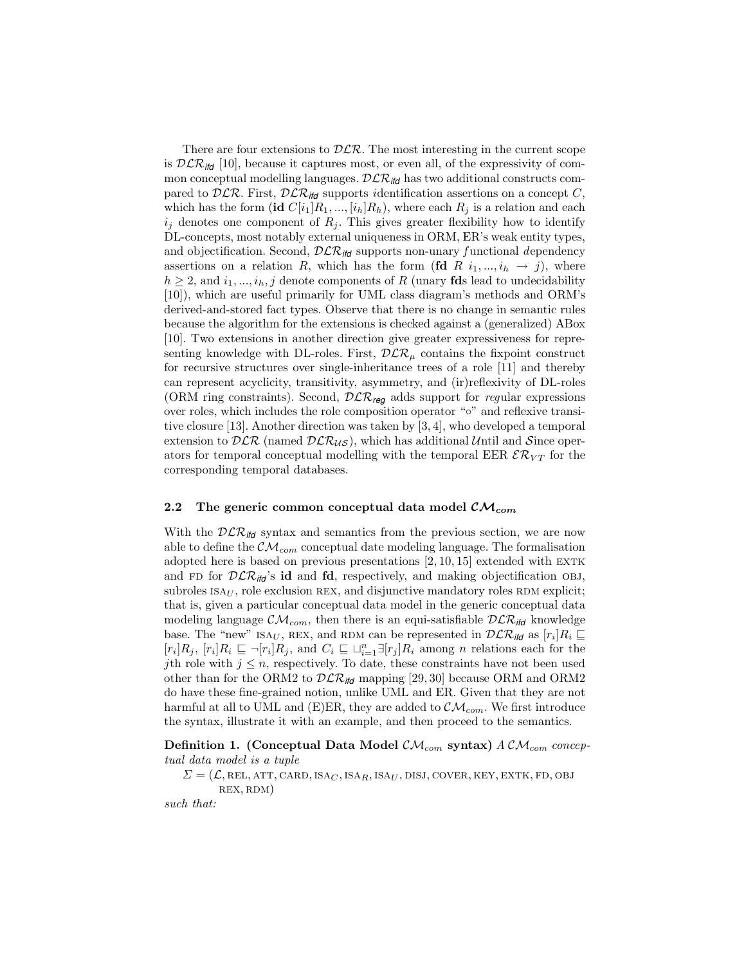There are four extensions to  $D\mathcal{LR}$ . The most interesting in the current scope is  $\mathcal{DLR}_{\text{ifd}}$  [10], because it captures most, or even all, of the expressivity of common conceptual modelling languages.  $DLR_{ifd}$  has two additional constructs compared to  $D\mathcal{LR}$ . First,  $D\mathcal{LR}_{\text{ifd}}$  supports identification assertions on a concept C, which has the form (id  $C[i_1]R_1, ..., [i_h]R_h$ ), where each  $R_i$  is a relation and each  $i_j$  denotes one component of  $R_j$ . This gives greater flexibility how to identify DL-concepts, most notably external uniqueness in ORM, ER's weak entity types, and objectification. Second,  $D\mathcal{LR}_{\mathsf{ifd}}$  supports non-unary functional dependency assertions on a relation R, which has the form (fd R  $i_1, ..., i_h \rightarrow j$ ), where  $h \geq 2$ , and  $i_1, ..., i_h, j$  denote components of R (unary **fds** lead to undecidability [10]), which are useful primarily for UML class diagram's methods and ORM's derived-and-stored fact types. Observe that there is no change in semantic rules because the algorithm for the extensions is checked against a (generalized) ABox [10]. Two extensions in another direction give greater expressiveness for representing knowledge with DL-roles. First,  $\mathcal{DLR}_{\mu}$  contains the fixpoint construct for recursive structures over single-inheritance trees of a role [11] and thereby can represent acyclicity, transitivity, asymmetry, and (ir)reflexivity of DL-roles (ORM ring constraints). Second, DLR*reg* adds support for regular expressions over roles, which includes the role composition operator "◦" and reflexive transitive closure [13]. Another direction was taken by [3, 4], who developed a temporal extension to  $DLR$  (named  $DLR_{US}$ ), which has additional Until and Since operators for temporal conceptual modelling with the temporal EER  $\mathcal{ER} \mathcal{K}_{VT}$  for the corresponding temporal databases.

#### 2.2 The generic common conceptual data model  $\mathcal{CM}_{com}$

With the  $D\mathcal{LR}_{\mathit{ifd}}$  syntax and semantics from the previous section, we are now able to define the  $\mathcal{CM}_{com}$  conceptual date modeling language. The formalisation adopted here is based on previous presentations  $[2, 10, 15]$  extended with EXTK and FD for  $D\mathcal{LR}_{\mathit{itd}}$ 's **id** and **fd**, respectively, and making objectification OBJ, subroles  $ISA_U$ , role exclusion REX, and disjunctive mandatory roles RDM explicit; that is, given a particular conceptual data model in the generic conceptual data modeling language  $\mathcal{CM}_{com}$ , then there is an equi-satisfiable  $\mathcal{DLR}_{\mathit{ild}}$  knowledge base. The "new" ISA<sub>U</sub>, REX, and RDM can be represented in  $\mathcal{DLR}_{\textit{iff}}$  as  $[r_i]R_i \sqsubseteq$  $[r_i]R_j$ ,  $[r_i]R_i \sqsubseteq \neg[r_i]R_j$ , and  $C_i \sqsubseteq \sqcup_{i=1}^n \exists [r_j]R_i$  among n relations each for the jth role with  $j \leq n$ , respectively. To date, these constraints have not been used other than for the ORM2 to  $\mathcal{DLR}_{td}$  mapping [29, 30] because ORM and ORM2 do have these fine-grained notion, unlike UML and ER. Given that they are not harmful at all to UML and (E)ER, they are added to  $\mathcal{CM}_{com}$ . We first introduce the syntax, illustrate it with an example, and then proceed to the semantics.

Definition 1. (Conceptual Data Model  $\mathcal{CM}_{com}$  syntax)  $ACM_{com}$  conceptual data model is a tuple

 $\Sigma = (\mathcal{L}, \text{REL}, \text{ATT}, \text{CARD}, \text{ISA}_C, \text{ISA}_R, \text{ISA}_U, \text{DISJ}, \text{Cover}, \text{KEY}, \text{EXTK}, \text{FD}, \text{OBJ})$ rex, rdm)

such that: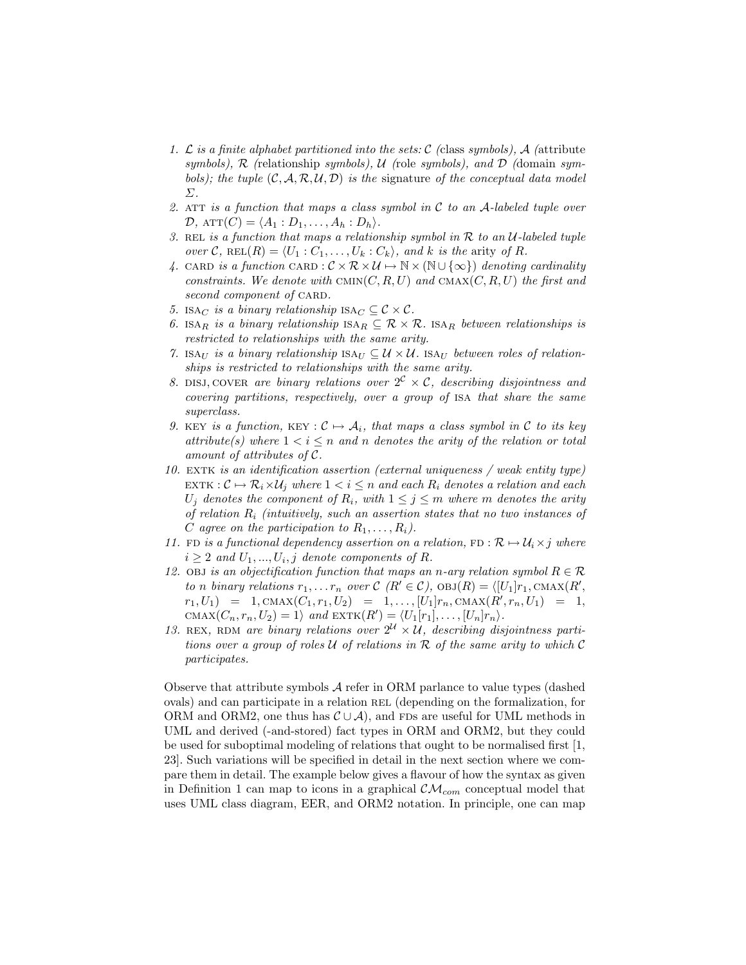- 1. L is a finite alphabet partitioned into the sets: C (class symbols), A (attribute symbols),  $\mathcal R$  (relationship symbols),  $\mathcal U$  (role symbols), and  $\mathcal D$  (domain symbols); the tuple  $(C, \mathcal{A}, \mathcal{R}, \mathcal{U}, \mathcal{D})$  is the signature of the conceptual data model Σ.
- 2. ATT is a function that maps a class symbol in  $C$  to an A-labeled tuple over  $\mathcal{D}$ ,  $ATT(C) = \langle A_1 : D_1, \ldots, A_h : D_h \rangle$ .
- 3. REL is a function that maps a relationship symbol in  $R$  to an  $U$ -labeled tuple over C, REL $(R) = \langle U_1 : C_1, \ldots, U_k : C_k \rangle$ , and k is the arity of R.
- 4. CARD is a function CARD :  $\mathcal{C} \times \mathcal{R} \times \mathcal{U} \mapsto \mathbb{N} \times (\mathbb{N} \cup {\infty})$  denoting cardinality constraints. We denote with  $\text{C}(\mathcal{R},K,U)$  and  $\text{C}(\mathcal{R},K,U)$  the first and second component of CARD.
- 5. ISA<sub>C</sub> is a binary relationship ISA<sub>C</sub>  $\subseteq \mathcal{C} \times \mathcal{C}$ .
- 6. ISAR is a binary relationship  $ISA_R \subseteq \mathcal{R} \times \mathcal{R}$ . ISAR between relationships is restricted to relationships with the same arity.
- 7. ISAU is a binary relationship  $ISA_U \subseteq U \times U$ . ISAU between roles of relationships is restricted to relationships with the same arity.
- 8. DISJ, COVER are binary relations over  $2^c \times c$ , describing disjointness and covering partitions, respectively, over a group of isa that share the same superclass.
- 9. KEY is a function, KEY :  $C \mapsto A_i$ , that maps a class symbol in C to its key attribute(s) where  $1 < i \leq n$  and n denotes the arity of the relation or total amount of attributes of C.
- 10. EXTK is an identification assertion (external uniqueness / weak entity type) EXTK :  $\mathcal{C} \mapsto \mathcal{R}_i \times \mathcal{U}_i$  where  $1 < i \leq n$  and each  $R_i$  denotes a relation and each  $U_j$  denotes the component of  $R_i$ , with  $1 \leq j \leq m$  where m denotes the arity of relation  $R_i$  (intuitively, such an assertion states that no two instances of C agree on the participation to  $R_1, \ldots, R_i$ ).
- 11. FD is a functional dependency assertion on a relation, FD :  $\mathcal{R} \mapsto \mathcal{U}_i \times j$  where  $i \geq 2$  and  $U_1, ..., U_i, j$  denote components of R.
- 12. Objectification function that maps an n-ary relation symbol  $R \in \mathcal{R}$ to n binary relations  $r_1, \ldots r_n$  over  $\mathcal{C}(R' \in \mathcal{C})$ ,  $\mathrm{OBJ}(R) = \langle [U_1]r_1, \mathrm{CMAX}(R',$  $r_1, U_1$  = 1,  $\text{CMAX}(C_1, r_1, U_2)$  = 1, ...,  $[U_1]r_n, \text{CMAX}(R', r_n, U_1)$  = 1, CMAX $(C_n, r_n, U_2) = 1$  and EXTK $(R') = \langle U_1[r_1], \ldots, [U_n]r_n \rangle$ .
- 13. REX, RDM are binary relations over  $2^{\mathcal{U}} \times \mathcal{U}$ , describing disjointness partitions over a group of roles U of relations in R of the same arity to which C participates.

Observe that attribute symbols A refer in ORM parlance to value types (dashed ovals) and can participate in a relation rel (depending on the formalization, for ORM and ORM2, one thus has  $\mathcal{C} \cup \mathcal{A}$ , and FDs are useful for UML methods in UML and derived (-and-stored) fact types in ORM and ORM2, but they could be used for suboptimal modeling of relations that ought to be normalised first [1, 23]. Such variations will be specified in detail in the next section where we compare them in detail. The example below gives a flavour of how the syntax as given in Definition 1 can map to icons in a graphical  $\mathcal{CM}_{com}$  conceptual model that uses UML class diagram, EER, and ORM2 notation. In principle, one can map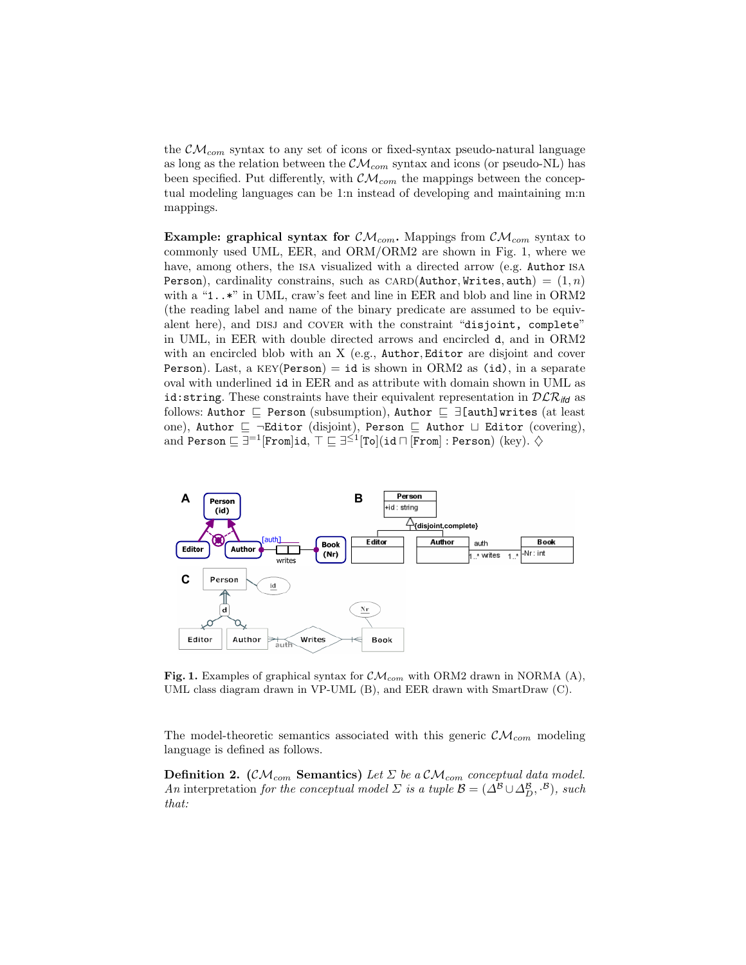the  $\mathcal{CM}_{com}$  syntax to any set of icons or fixed-syntax pseudo-natural language as long as the relation between the  $\mathcal{CM}_{com}$  syntax and icons (or pseudo-NL) has been specified. Put differently, with  $\mathcal{CM}_{com}$  the mappings between the conceptual modeling languages can be 1:n instead of developing and maintaining m:n mappings.

**Example: graphical syntax for**  $CM_{com}$ **.** Mappings from  $CM_{com}$  syntax to commonly used UML, EER, and ORM/ORM2 are shown in Fig. 1, where we have, among others, the ISA visualized with a directed arrow (e.g. Author ISA) Person), cardinality constrains, such as  $CARD(Author, Writes, auth) = (1, n)$ with a "1..\*" in UML, craw's feet and line in EER and blob and line in ORM2 (the reading label and name of the binary predicate are assumed to be equivalent here), and DISJ and COVER with the constraint "disjoint, complete" in UML, in EER with double directed arrows and encircled d, and in ORM2 with an encircled blob with an X (e.g., Author, Editor are disjoint and cover Person). Last, a  $KEY(Person) = id$  is shown in ORM2 as (id), in a separate oval with underlined id in EER and as attribute with domain shown in UML as id: string. These constraints have their equivalent representation in  $D\mathcal{LR}_{\mathsf{iff}}$  as follows: Author  $\subseteq$  Person (subsumption), Author  $\subseteq \exists$ [auth]writes (at least one), Author  $\sqsubseteq$   $\neg$ Editor (disjoint), Person  $\sqsubseteq$  Author  $\sqcup$  Editor (covering), and Person  $\sqsubseteq \exists^{=1}[{\tt From}]$ id,  $\top \sqsubseteq \exists^{\leq 1}[{\tt To}](\texttt{id} \sqcap [{\tt From}] : {\tt Person})$   $(\text{key}).~ \diamondsuit$ 



Fig. 1. Examples of graphical syntax for  $\mathcal{CM}_{com}$  with ORM2 drawn in NORMA (A), UML class diagram drawn in VP-UML (B), and EER drawn with SmartDraw (C).

The model-theoretic semantics associated with this generic  $\mathcal{CM}_{com}$  modeling language is defined as follows.

**Definition 2.** ( $\mathcal{CM}_{com}$  **Semantics**) Let  $\Sigma$  be a  $\mathcal{CM}_{com}$  conceptual data model. An interpretation for the conceptual model  $\Sigma$  is a tuple  $\mathcal{B} = (\Delta^{\mathcal{B}} \cup \Delta^{\mathcal{B}}_{D}, \cdot^{\mathcal{B}})$ , such that: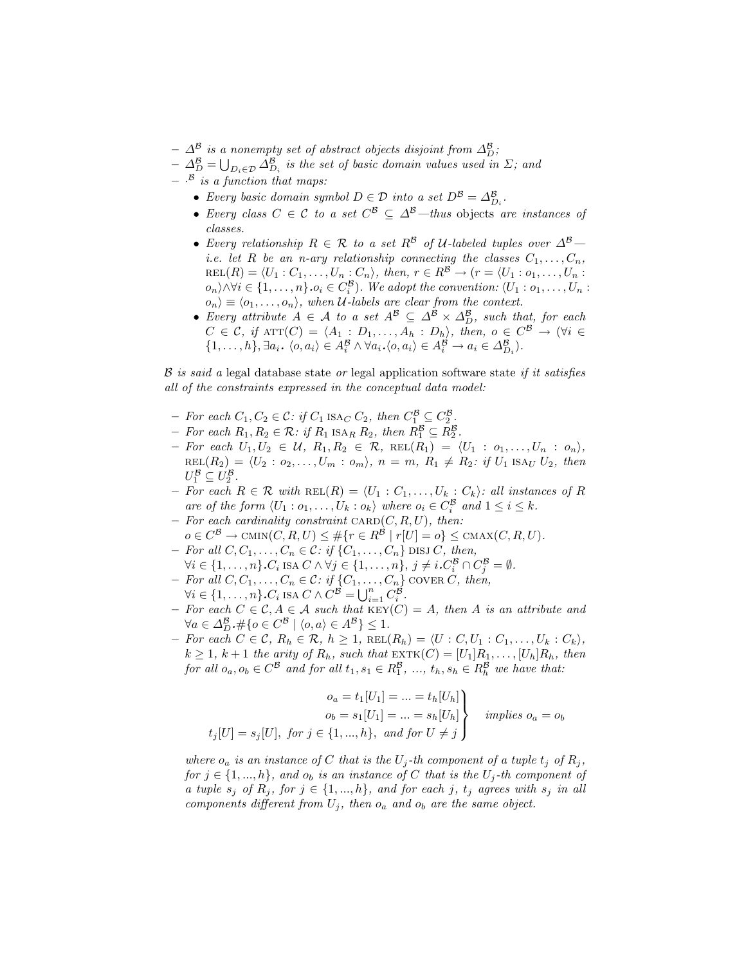- $\varDelta^{\mathcal{B}}$  is a nonempty set of abstract objects disjoint from  $\varDelta^{\mathcal{B}}_D$ ;
- $-\Delta_D^{\mathcal{B}}=\bigcup_{D_i\in\mathcal{D}}\Delta_{D_i}^{\mathcal{B}}$  is the set of basic domain values used in  $\Sigma$ ; and  $\cdot$ <sup>B</sup> is a function that maps:
	- Every basic domain symbol  $D \in \mathcal{D}$  into a set  $D^{\mathcal{B}} = \Delta_{D_i}^{\mathcal{B}}$ .
	- Every class  $C \in \mathcal{C}$  to a set  $C^{\mathcal{B}} \subseteq \Delta^{\mathcal{B}}$ —thus objects are instances of classes.
	- Every relationship  $R \in \mathcal{R}$  to a set  $R^{\beta}$  of U-labeled tuples over  $\Delta^{\beta}$  *i.e.* let R be an n-ary relationship connecting the classes  $C_1, \ldots, C_n$ ,  $REL(R) = \langle U_1 : C_1, \ldots, U_n : C_n \rangle$ , then,  $r \in R^{\mathcal{B}} \rightarrow (r = \langle U_1 : o_1, \ldots, U_n : C_n \rangle)$  $o_n$ \ $\land \forall i \in \{1, ..., n\}$ . $o_i \in C_i^{\mathcal{B}}$ ). We adopt the convention:  $\langle U_1 : o_1, ..., U_n :$  $\langle o_n \rangle \equiv \langle o_1, \ldots, o_n \rangle$ , when U-labels are clear from the context.
	- Every attribute  $A \in \mathcal{A}$  to a set  $A^{\mathcal{B}} \subseteq \Delta^{\mathcal{B}} \times \Delta^{\mathcal{B}}_{D}$ , such that, for each  $C \in \mathcal{C}$ , if  $ATT(C) = \langle A_1 : D_1, \ldots, A_h : D_h \rangle$ , then,  $o \in C^{\mathcal{B}} \to (\forall i \in$  $\{1, \ldots, h\}, \exists a_i \ldotp \langle o, a_i \rangle \in A_i^{\mathcal{B}} \land \forall a_i \ldotp \langle o, a_i \rangle \in A_i^{\mathcal{B}} \rightarrow a_i \in \Delta_{D_i}^{\mathcal{B}}\}.$

 $\beta$  is said a legal database state or legal application software state if it satisfies all of the constraints expressed in the conceptual data model:

- For each  $C_1, C_2 \in \mathcal{C}$ : if  $C_1$  ISA<sub>C</sub>  $C_2$ , then  $C_1^{\mathcal{B}} \subseteq C_2^{\mathcal{B}}$ .
- For each  $R_1, R_2 \in \mathcal{R}$ : if  $R_1$  ISA<sub>R</sub>  $R_2$ , then  $R_1^{\mathcal{B}} \subseteq R_2^{\mathcal{B}}$ .
- For each  $U_1, U_2 \in \mathcal{U}, R_1, R_2 \in \mathcal{R}, \text{ REL}(R_1) = \langle U_1 : o_1, \ldots, U_n : o_n \rangle,$  $REL(R_2) = \langle U_2 : o_2, \ldots, U_m : o_m \rangle, n = m, R_1 \neq R_2: if U_1$  ISAU  $U_2$ , then  $U_1^{\mathcal{B}} \subseteq U_2^{\mathcal{B}}.$
- For each R ∈ R with REL(R) =  $\langle U_1 : C_1, \ldots, U_k : C_k \rangle$ : all instances of R are of the form  $\langle U_1 : o_1, \ldots, U_k : o_k \rangle$  where  $o_i \in C_i^{\mathcal{B}}$  and  $1 \leq i \leq k$ .
- For each cardinality constraint  $C, R, U$ , then:  $o \in C^{\mathcal{B}} \to \text{CMIN}(C, R, U) \leq \# \{r \in R^{\mathcal{B}} \mid r[U] = o\} \leq \text{CMAX}(C, R, U).$
- For all  $C, C_1, \ldots, C_n \in \mathcal{C}:$  if  $\{C_1, \ldots, C_n\}$  DISJ C, then,  $\forall i \in \{1, \ldots, n\} \cdot C_i$  ISA  $C \wedge \forall j \in \{1, \ldots, n\}, \ j \neq i \cdot C_i^{\mathcal{B}} \cap C_j^{\mathcal{B}} = \emptyset$ .
- For all  $C, C_1, \ldots, C_n \in \mathcal{C}:$  if  $\{C_1, \ldots, C_n\}$  cover  $C$ , then,
- $\forall i \in \{1, \ldots, n\} \ldotp C_i$  ISA  $C \wedge C^{\mathcal{B}} = \bigcup_{i=1}^n C_i^{\mathcal{B}}$ .
- For each  $C \in \mathcal{C}, A \in \mathcal{A}$  such that  $KEY(C) = A$ , then A is an attribute and  $\forall a \in \Delta_D^{\mathcal{B}}. \#\{o \in C^{\mathcal{B}} \mid \langle o, a \rangle \in A^{\mathcal{B}}\} \leq 1.$
- $-$  For each  $C \in \mathcal{C}, R_h \in \mathcal{R}, h \geq 1$ ,  $\text{REL}(R_h) = \langle U : C, U_1 : C_1, \ldots, U_k : C_k \rangle$ ,  $k \geq 1$ ,  $k+1$  the arity of  $R_h$ , such that  $\text{EXT}(C) = [U_1]R_1, \ldots, [U_h]R_h$ , then for all  $o_a, o_b \in C^{\mathcal{B}}$  and for all  $t_1, s_1 \in R_1^{\mathcal{B}}, ..., t_h, s_h \in R_h^{\mathcal{B}}$  we have that:

$$
o_a = t_1[U_1] = \dots = t_h[U_h]
$$
  
\n
$$
o_b = s_1[U_1] = \dots = s_h[U_h]
$$
  
\n
$$
t_j[U] = s_j[U], \text{ for } j \in \{1, ..., h\}, \text{ and for } U \neq j
$$
  
\n
$$
implies o_a = o_b
$$

where  $o_a$  is an instance of C that is the  $U_j$ -th component of a tuple  $t_j$  of  $R_j$ , for  $j \in \{1, ..., h\}$ , and  $o_b$  is an instance of C that is the  $U_j$ -th component of a tuple  $s_j$  of  $R_j$ , for  $j \in \{1, ..., h\}$ , and for each j,  $t_j$  agrees with  $s_j$  in all components different from  $U_j$ , then  $o_a$  and  $o_b$  are the same object.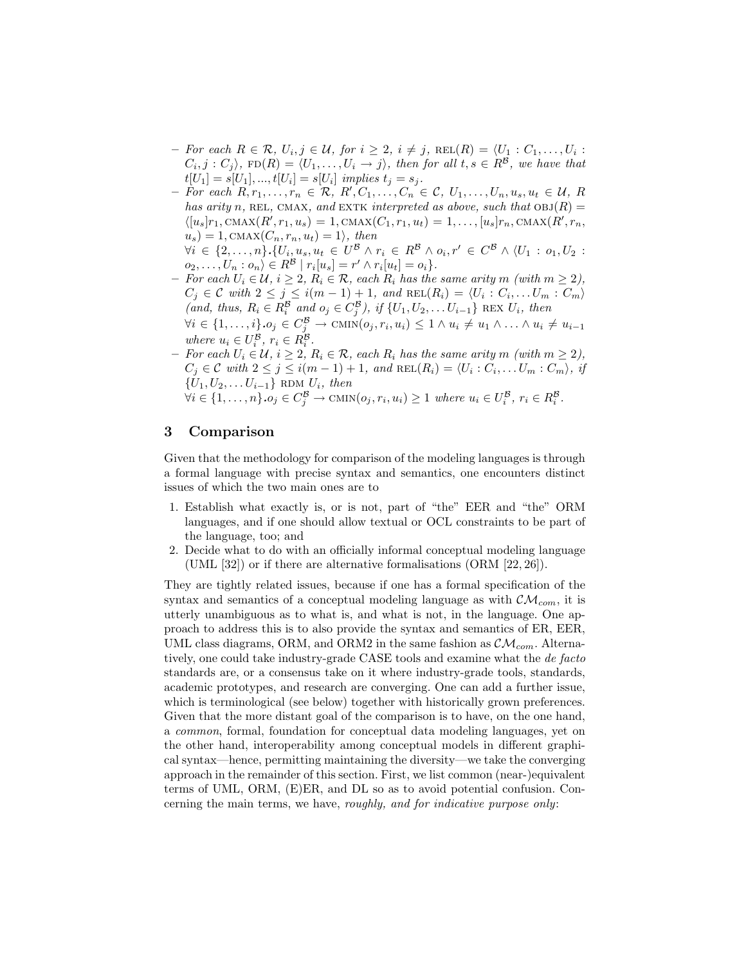- $-$  For each R ∈ R,  $U_i, j \in \mathcal{U}$ , for  $i \geq 2$ ,  $i \neq j$ , REL $(R) = \langle U_1 : C_1, \ldots, U_i :$  $C_i, j : C_j$ ,  $FD(R) = \langle U_1, \ldots, U_i \to j \rangle$ , then for all  $t, s \in R^{\mathcal{B}}$ , we have that  $t[U_1] = s[U_1], ..., t[U_i] = s[U_i]$  implies  $t_j = s_j$ .
- $-$  For each  $R, r_1, \ldots, r_n \in \mathcal{R}, R', C_1, \ldots, C_n \in \mathcal{C}, U_1, \ldots, U_n, u_s, u_t \in \mathcal{U}, R$ has arity n, REL, CMAX, and EXTK interpreted as above, such that  $OBJ(R) =$  $\langle [u_s]r_1, \text{CMAX}(R', r_1, u_s) = 1, \text{CMAX}(C_1, r_1, u_t) = 1, \dots, [u_s]r_n, \text{CMAX}(R', r_n,$  $u_s$ ) = 1, CMAX $(C_n, r_n, u_t) = 1$ , then  $\forall i \in \{2, ..., n\}.\{U_i, u_s, u_t \in U^B \land r_i \in R^B \land o_i, r' \in C^B \land \langle U_1 : o_1, U_2 : v \}$

 $o_2, \ldots, U_n : o_n \rangle \in R^{\mathcal{B}} \mid r_i[u_s] = r' \wedge r_i[u_t] = o_i \}.$ 

- $−$  For each  $U_i \in \mathcal{U}, i \geq 2, R_i \in \mathcal{R},$  each  $R_i$  has the same arity m (with  $m \geq 2$ ),  $C_j \in \mathcal{C}$  with  $2 \leq j \leq i(m-1)+1$ , and  $\text{REL}(R_i) = \langle U_i : C_i, \dots U_m : C_m \rangle$ (and, thus,  $R_i \in R_i^{\mathcal{B}}$  and  $o_j \in C_j^{\mathcal{B}}$ ), if  $\{U_1, U_2, \ldots, U_{i-1}\}$  REX  $U_i$ , then  $\forall i \in \{1, \ldots, i\} \cdot o_j \in C_j^{\mathcal{B}} \to \text{CMIN}(o_j, r_i, u_i) \leq 1 \land u_i \neq u_1 \land \ldots \land u_i \neq u_{i-1}$ where  $u_i \in U_i^{\mathcal{B}}, r_i \in R_i^{\mathcal{B}}$ .
- *–* For each  $U_i$  ∈  $U$ ,  $i \geq 2$ ,  $R_i$  ∈  $R$ , each  $R_i$  has the same arity m (with  $m \geq 2$ ),  $C_j \in \mathcal{C}$  with  $2 \leq j \leq i(m-1)+1$ , and  $\text{REL}(R_i) = \langle U_i : C_i, \dots U_m : C_m \rangle$ , if  $\{U_1, U_2, \ldots U_{i-1}\}$  RDM  $U_i$ , then  $\forall i \in \{1, \ldots, n\} \cdot o_j \in C_j^{\mathcal{B}} \to \text{CMIN}(o_j, r_i, u_i) \geq 1$  where  $u_i \in U_i^{\mathcal{B}}, r_i \in R_i^{\mathcal{B}}.$

# 3 Comparison

Given that the methodology for comparison of the modeling languages is through a formal language with precise syntax and semantics, one encounters distinct issues of which the two main ones are to

- 1. Establish what exactly is, or is not, part of "the" EER and "the" ORM languages, and if one should allow textual or OCL constraints to be part of the language, too; and
- 2. Decide what to do with an officially informal conceptual modeling language (UML [32]) or if there are alternative formalisations (ORM [22, 26]).

They are tightly related issues, because if one has a formal specification of the syntax and semantics of a conceptual modeling language as with  $\mathcal{CM}_{com}$ , it is utterly unambiguous as to what is, and what is not, in the language. One approach to address this is to also provide the syntax and semantics of ER, EER, UML class diagrams, ORM, and ORM2 in the same fashion as  $\mathcal{CM}_{com}$ . Alternatively, one could take industry-grade CASE tools and examine what the de facto standards are, or a consensus take on it where industry-grade tools, standards, academic prototypes, and research are converging. One can add a further issue, which is terminological (see below) together with historically grown preferences. Given that the more distant goal of the comparison is to have, on the one hand, a common, formal, foundation for conceptual data modeling languages, yet on the other hand, interoperability among conceptual models in different graphical syntax—hence, permitting maintaining the diversity—we take the converging approach in the remainder of this section. First, we list common (near-)equivalent terms of UML, ORM, (E)ER, and DL so as to avoid potential confusion. Concerning the main terms, we have, roughly, and for indicative purpose only: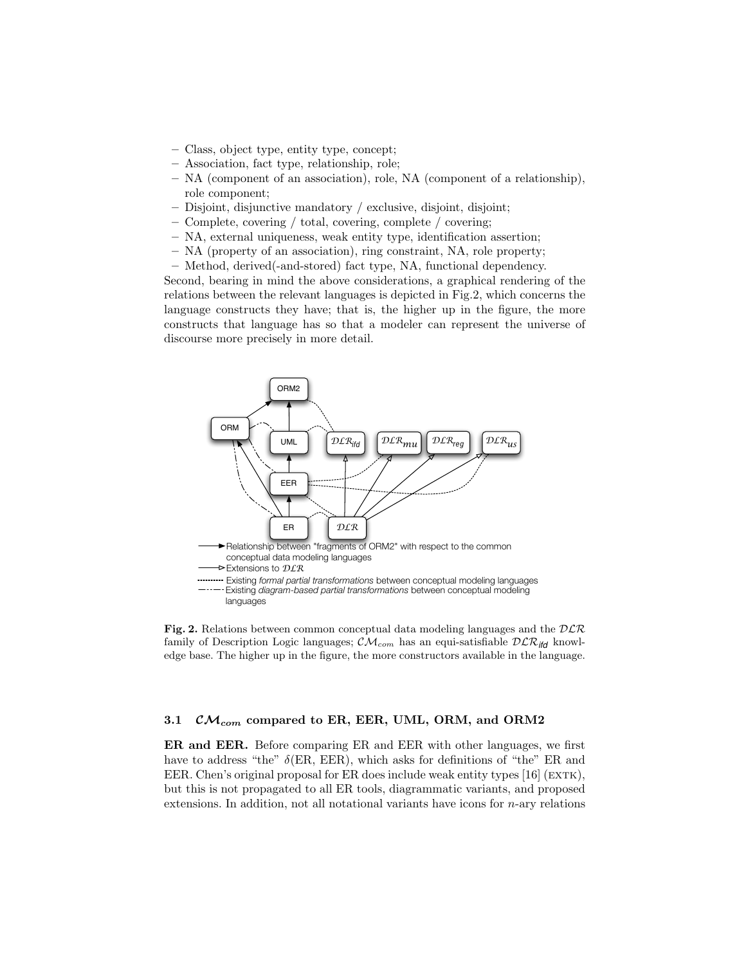- Class, object type, entity type, concept;
- Association, fact type, relationship, role;
- NA (component of an association), role, NA (component of a relationship), role component;
- Disjoint, disjunctive mandatory / exclusive, disjoint, disjoint;
- Complete, covering / total, covering, complete / covering;
- NA, external uniqueness, weak entity type, identification assertion;
- NA (property of an association), ring constraint, NA, role property;
- Method, derived(-and-stored) fact type, NA, functional dependency.

Second, bearing in mind the above considerations, a graphical rendering of the relations between the relevant languages is depicted in Fig.2, which concerns the language constructs they have; that is, the higher up in the figure, the more constructs that language has so that a modeler can represent the universe of discourse more precisely in more detail.



Fig. 2. Relations between common conceptual data modeling languages and the  $DLR$ family of Description Logic languages;  $\mathcal{CM}_{com}$  has an equi-satisfiable  $D\mathcal{LR}_{ifd}$  knowledge base. The higher up in the figure, the more constructors available in the language.

### 3.1  $CM_{com}$  compared to ER, EER, UML, ORM, and ORM2

ER and EER. Before comparing ER and EER with other languages, we first have to address "the"  $\delta$ (ER, EER), which asks for definitions of "the" ER and EER. Chen's original proposal for ER does include weak entity types  $[16]$  (EXTK), but this is not propagated to all ER tools, diagrammatic variants, and proposed extensions. In addition, not all notational variants have icons for  $n$ -ary relations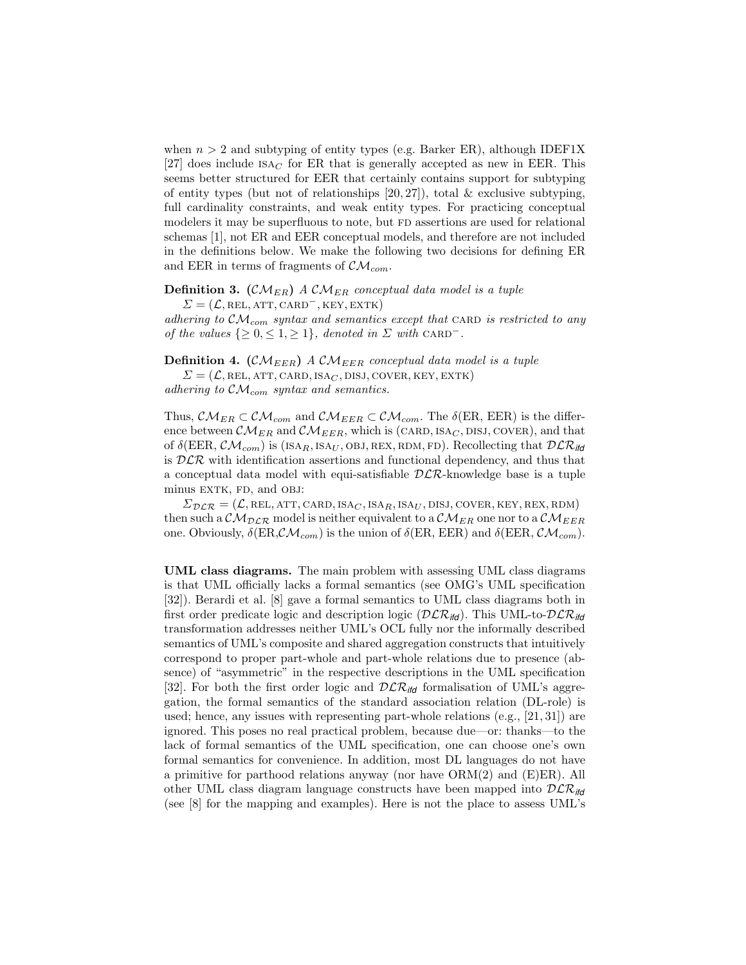when  $n > 2$  and subtyping of entity types (e.g. Barker ER), although IDEF1X [27] does include  $ISAC$  for ER that is generally accepted as new in EER. This seems better structured for EER that certainly contains support for subtyping of entity types (but not of relationships  $[20, 27]$ ), total & exclusive subtyping, full cardinality constraints, and weak entity types. For practicing conceptual modelers it may be superfluous to note, but FD assertions are used for relational schemas [1], not ER and EER conceptual models, and therefore are not included in the definitions below. We make the following two decisions for defining ER and EER in terms of fragments of  $\mathcal{CM}_{com}$ .

### **Definition 3.** ( $\mathcal{CM}_{ER}$ ) A  $\mathcal{CM}_{ER}$  conceptual data model is a tuple

 $\Sigma = (\mathcal{L}, \text{REL}, \text{ATT}, \text{CARD}^-, \text{KEY}, \text{EXTK})$ 

adhering to  $\mathcal{CM}_{com}$  syntax and semantics except that CARD is restricted to any of the values  $\{\geq 0, \leq 1, \geq 1\}$ , denoted in  $\Sigma$  with CARD<sup>-</sup>.

**Definition 4.** (CM<sub>EER</sub>) A CM<sub>EER</sub> conceptual data model is a tuple

 $\Sigma = (\mathcal{L}, \text{REL}, \text{ATT}, \text{CARD}, \text{ISA}_C, \text{DISJ}, \text{Cover}, \text{KEY}, \text{EXTK})$ adhering to  $\mathcal{CM}_{com}$  syntax and semantics.

Thus,  $\mathcal{CM}_{ER} \subset \mathcal{CM}_{com}$  and  $\mathcal{CM}_{EER} \subset \mathcal{CM}_{com}$ . The  $\delta$ (ER, EER) is the difference between  $\mathcal{CM}_{ER}$  and  $\mathcal{CM}_{EER}$ , which is (CARD, ISA<sub>C</sub>, DISJ, COVER), and that of  $\delta$ (EER,  $\mathcal{CM}_{com}$ ) is (ISA<sub>R</sub>, ISA<sub>U</sub>, OBJ, REX, RDM, FD). Recollecting that  $\mathcal{DLR}_{\textit{ifd}}$ is  $DLR$  with identification assertions and functional dependency, and thus that a conceptual data model with equi-satisfiable  $DLR$ -knowledge base is a tuple minus EXTK, FD, and OBJ:

 $\Sigma_{\mathcal{DLR}} = (\mathcal{L}, \text{REL}, \text{ATT}, \text{CARD}, \text{ISA}_C, \text{ISA}_R, \text{ISA}_U, \text{DISJ}, \text{Cover}, \text{KEY}, \text{REX}, \text{RDM})$ then such a  $\mathcal{CM}_{DCR}$  model is neither equivalent to a  $\mathcal{CM}_{ER}$  one nor to a  $\mathcal{CM}_{EER}$ one. Obviously,  $\delta(\text{ER}, \mathcal{CM}_{com})$  is the union of  $\delta(\text{ER}, \text{EER})$  and  $\delta(\text{EER}, \mathcal{CM}_{com})$ .

UML class diagrams. The main problem with assessing UML class diagrams is that UML officially lacks a formal semantics (see OMG's UML specification [32]). Berardi et al. [8] gave a formal semantics to UML class diagrams both in first order predicate logic and description logic ( $\mathcal{DLR}_{\mathit{itd}}$ ). This UML-to- $\mathcal{DLR}_{\mathit{itd}}$ transformation addresses neither UML's OCL fully nor the informally described semantics of UML's composite and shared aggregation constructs that intuitively correspond to proper part-whole and part-whole relations due to presence (absence) of "asymmetric" in the respective descriptions in the UML specification [32]. For both the first order logic and  $\mathcal{DLR}_{\textit{itfd}}$  formalisation of UML's aggregation, the formal semantics of the standard association relation (DL-role) is used; hence, any issues with representing part-whole relations  $(e.g., [21, 31])$  are ignored. This poses no real practical problem, because due—or: thanks—to the lack of formal semantics of the UML specification, one can choose one's own formal semantics for convenience. In addition, most DL languages do not have a primitive for parthood relations anyway (nor have  $\rm{ORM}(2)$  and  $\rm{(E)ER}$ ). All other UML class diagram language constructs have been mapped into DLR*ifd* (see [8] for the mapping and examples). Here is not the place to assess UML's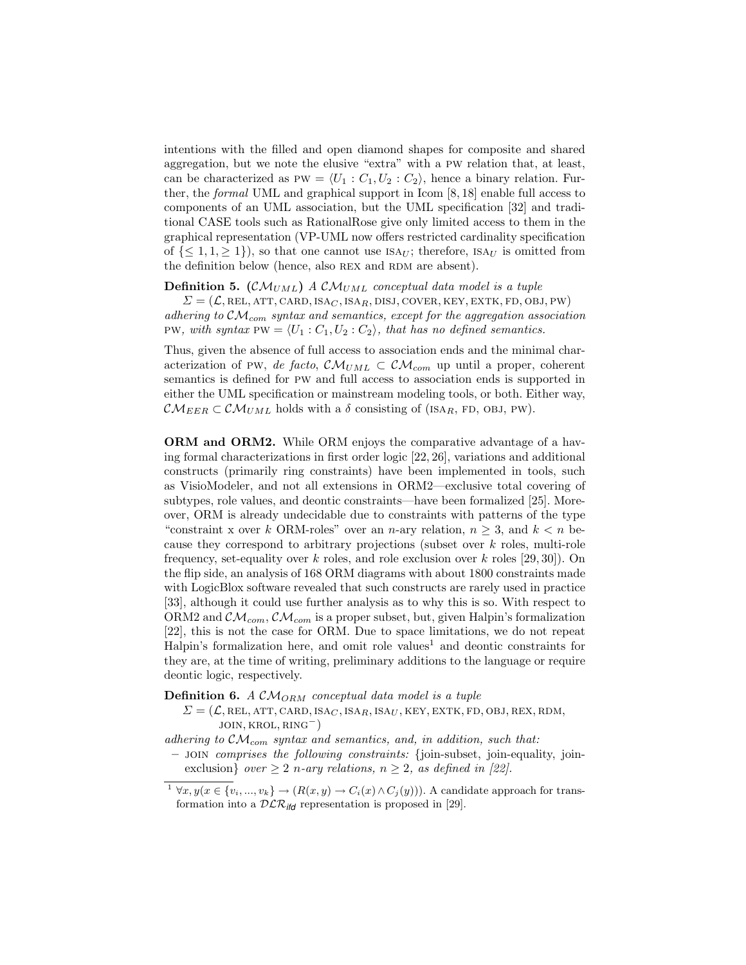intentions with the filled and open diamond shapes for composite and shared aggregation, but we note the elusive "extra" with a pw relation that, at least, can be characterized as PW =  $\langle U_1 : C_1, U_2 : C_2 \rangle$ , hence a binary relation. Further, the formal UML and graphical support in Icom [8, 18] enable full access to components of an UML association, but the UML specification [32] and traditional CASE tools such as RationalRose give only limited access to them in the graphical representation (VP-UML now offers restricted cardinality specification of  $\{<1, 1, >1\}$ , so that one cannot use  $ISA_{II}$ ; therefore,  $ISA_{II}$  is omitted from the definition below (hence, also REX and RDM are absent).

**Definition 5.** (CM<sub>UML</sub>) A CM<sub>UML</sub> conceptual data model is a tuple

 $\Sigma = (\mathcal{L}, \text{REL}, \text{ATT}, \text{CARD}, \text{ISA}_C, \text{ISA}_R, \text{DISJ}, \text{COVER}, \text{KEY}, \text{EXTK}, \text{FD}, \text{OBJ}, \text{PW})$ adhering to  $\mathcal{CM}_{com}$  syntax and semantics, except for the aggregation association PW, with syntax PW =  $\langle U_1 : C_1, U_2 : C_2 \rangle$ , that has no defined semantics.

Thus, given the absence of full access to association ends and the minimal characterization of PW, de facto,  $\mathcal{CM}_{UML} \subset \mathcal{CM}_{com}$  up until a proper, coherent semantics is defined for pw and full access to association ends is supported in either the UML specification or mainstream modeling tools, or both. Either way,  $\mathcal{CM}_{EER} \subset \mathcal{CM}_{UML}$  holds with a  $\delta$  consisting of (ISA<sub>R</sub>, FD, OBJ, PW).

ORM and ORM2. While ORM enjoys the comparative advantage of a having formal characterizations in first order logic [22, 26], variations and additional constructs (primarily ring constraints) have been implemented in tools, such as VisioModeler, and not all extensions in ORM2—exclusive total covering of subtypes, role values, and deontic constraints—have been formalized [25]. Moreover, ORM is already undecidable due to constraints with patterns of the type "constraint x over k ORM-roles" over an n-ary relation,  $n \geq 3$ , and  $k < n$  because they correspond to arbitrary projections (subset over k roles, multi-role frequency, set-equality over k roles, and role exclusion over k roles  $[29, 30]$ . On the flip side, an analysis of 168 ORM diagrams with about 1800 constraints made with LogicBlox software revealed that such constructs are rarely used in practice [33], although it could use further analysis as to why this is so. With respect to ORM2 and  $\mathcal{CM}_{com}$ ,  $\mathcal{CM}_{com}$  is a proper subset, but, given Halpin's formalization [22], this is not the case for ORM. Due to space limitations, we do not repeat Halpin's formalization here, and omit role values<sup>1</sup> and deontic constraints for they are, at the time of writing, preliminary additions to the language or require deontic logic, respectively.

**Definition 6.** A  $\mathcal{CM}_{ORM}$  conceptual data model is a tuple

 $\Sigma = (\mathcal{L}, \text{REL}, \text{ATT}, \text{CARD}, \text{ISA}_C, \text{ISA}_R, \text{ISA}_U, \text{KEY}, \text{EXTK}, \text{FD}, \text{OBJ}, \text{REX}, \text{RDM},$ join, krol, ring<sup>−</sup>)

adhering to  $\mathcal{CM}_{com}$  syntax and semantics, and, in addition, such that:

– join comprises the following constraints: {join-subset, join-equality, joinexclusion} over  $\geq 2$  n-ary relations,  $n \geq 2$ , as defined in [22].

<sup>&</sup>lt;sup>1</sup>  $\forall x, y(x \in \{v_i, ..., v_k\} \rightarrow (R(x, y) \rightarrow C_i(x) \land C_j(y)))$ . A candidate approach for transformation into a  $D\mathcal{LR}_{\mathsf{ifd}}$  representation is proposed in [29].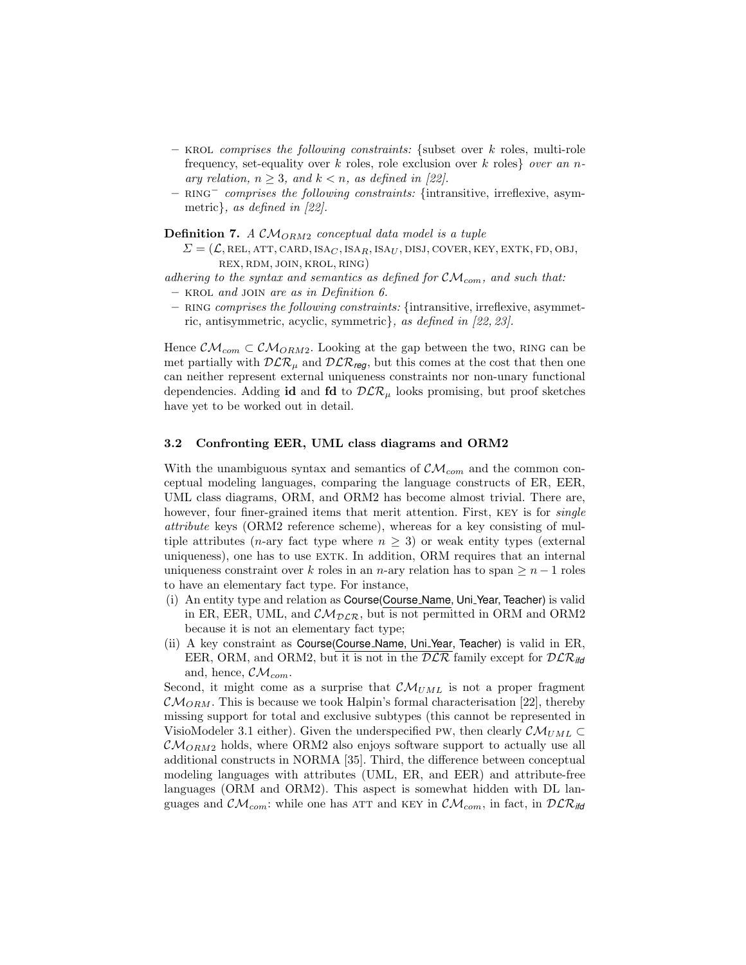- KROL comprises the following constraints: {subset over k roles, multi-role frequency, set-equality over k roles, role exclusion over k roles over an nary relation,  $n \geq 3$ , and  $k < n$ , as defined in [22].
- RING<sup>−</sup> comprises the following constraints: {intransitive, irreflexive, asymmetric}, as defined in [22].

**Definition 7.** A  $CM_{ORM2}$  conceptual data model is a tuple

- $\Sigma = (\mathcal{L}, \text{REL}, \text{ATT}, \text{CARD}, \text{ISA}_C, \text{ISA}_R, \text{ISA}_U, \text{DISJ}, \text{Cover}, \text{KEY}, \text{EXTK}, \text{FD}, \text{OBJ},$ rex, rdm, join, krol, ring)
- adhering to the syntax and semantics as defined for  $\mathcal{CM}_{com}$ , and such that:  $-$  KROL and JOIN are as in Definition 6.
- RING comprises the following constraints: {intransitive, irreflexive, asymmetric, antisymmetric, acyclic, symmetric}, as defined in [22, 23].

Hence  $\mathcal{CM}_{com} \subset \mathcal{CM}_{ORM2}$ . Looking at the gap between the two, RING can be met partially with  $D\mathcal{LR}_u$  and  $D\mathcal{LR}_{\text{req}}$ , but this comes at the cost that then one can neither represent external uniqueness constraints nor non-unary functional dependencies. Adding id and fd to  $\mathcal{DLR}_{\mu}$  looks promising, but proof sketches have yet to be worked out in detail.

#### 3.2 Confronting EER, UML class diagrams and ORM2

With the unambiguous syntax and semantics of  $\mathcal{CM}_{com}$  and the common conceptual modeling languages, comparing the language constructs of ER, EER, UML class diagrams, ORM, and ORM2 has become almost trivial. There are, however, four finer-grained items that merit attention. First, KEY is for *single* attribute keys (ORM2 reference scheme), whereas for a key consisting of multiple attributes (*n*-ary fact type where  $n \geq 3$ ) or weak entity types (external uniqueness), one has to use EXTK. In addition, ORM requires that an internal uniqueness constraint over k roles in an n-ary relation has to span  $\geq n-1$  roles to have an elementary fact type. For instance,

- (i) An entity type and relation as Course(Course Name, Uni Year, Teacher) is valid in ER, EER, UML, and  $\mathcal{CM}_{DCR}$ , but is not permitted in ORM and ORM2 because it is not an elementary fact type;
- (ii) A key constraint as Course(Course Name, Uni Year, Teacher) is valid in ER, EER, ORM, and ORM2, but it is not in the  $DLR$  family except for  $DLR_{\text{ifd}}$ and, hence,  $\mathcal{CM}_{com}$ .

Second, it might come as a surprise that  $\mathcal{CM}_{UML}$  is not a proper fragment  $\mathcal{CM}_{ORM}$ . This is because we took Halpin's formal characterisation [22], thereby missing support for total and exclusive subtypes (this cannot be represented in VisioModeler 3.1 either). Given the underspecified PW, then clearly  $\mathcal{CM}_{UML} \subset$  $\mathcal{CM}_{ORM2}$  holds, where ORM2 also enjoys software support to actually use all additional constructs in NORMA [35]. Third, the difference between conceptual modeling languages with attributes (UML, ER, and EER) and attribute-free languages (ORM and ORM2). This aspect is somewhat hidden with DL languages and  $\mathcal{CM}_{com}$ : while one has ATT and KEY in  $\mathcal{CM}_{com}$ , in fact, in  $\mathcal{DLR}_{\textit{lid}}$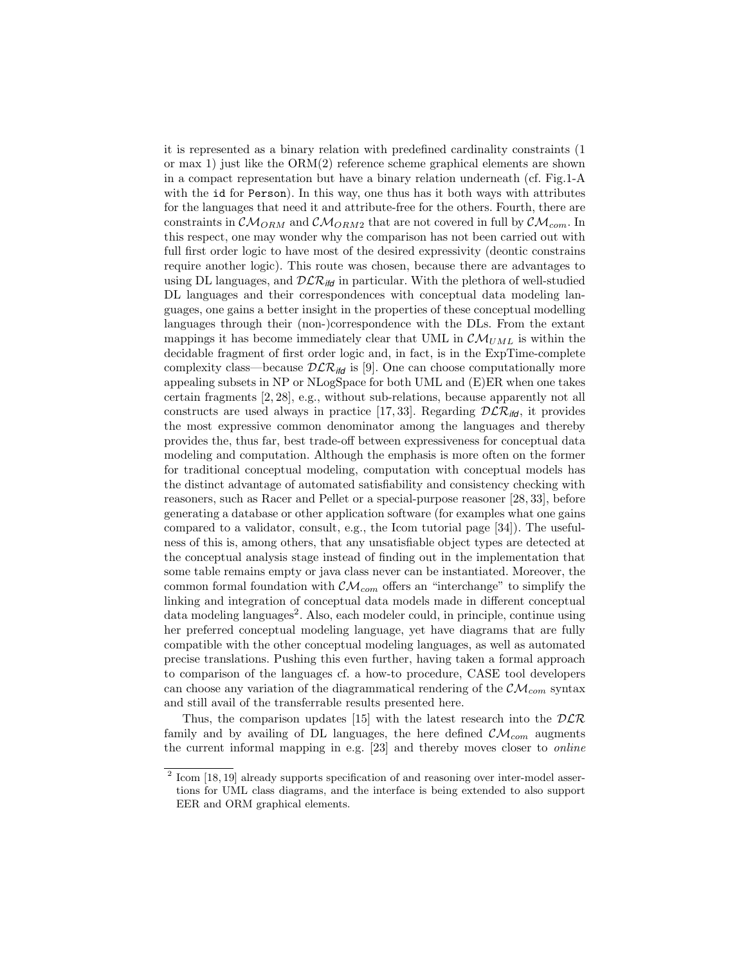it is represented as a binary relation with predefined cardinality constraints (1 or max 1) just like the ORM(2) reference scheme graphical elements are shown in a compact representation but have a binary relation underneath (cf. Fig.1-A with the id for Person). In this way, one thus has it both ways with attributes for the languages that need it and attribute-free for the others. Fourth, there are constraints in  $\mathcal{CM}_{ORM}$  and  $\mathcal{CM}_{ORM2}$  that are not covered in full by  $\mathcal{CM}_{com}$ . In this respect, one may wonder why the comparison has not been carried out with full first order logic to have most of the desired expressivity (deontic constrains require another logic). This route was chosen, because there are advantages to using DL languages, and  $\mathcal{DLR}_{\textit{ifd}}$  in particular. With the plethora of well-studied DL languages and their correspondences with conceptual data modeling languages, one gains a better insight in the properties of these conceptual modelling languages through their (non-)correspondence with the DLs. From the extant mappings it has become immediately clear that UML in  $\mathcal{CM}_{UML}$  is within the decidable fragment of first order logic and, in fact, is in the ExpTime-complete complexity class—because  $D\mathcal{LR}_{\textit{ifd}}$  is [9]. One can choose computationally more appealing subsets in NP or NLogSpace for both UML and (E)ER when one takes certain fragments [2, 28], e.g., without sub-relations, because apparently not all constructs are used always in practice [17, 33]. Regarding  $D\mathcal{LR}_{\text{ifd}}$ , it provides the most expressive common denominator among the languages and thereby provides the, thus far, best trade-off between expressiveness for conceptual data modeling and computation. Although the emphasis is more often on the former for traditional conceptual modeling, computation with conceptual models has the distinct advantage of automated satisfiability and consistency checking with reasoners, such as Racer and Pellet or a special-purpose reasoner [28, 33], before generating a database or other application software (for examples what one gains compared to a validator, consult, e.g., the Icom tutorial page [34]). The usefulness of this is, among others, that any unsatisfiable object types are detected at the conceptual analysis stage instead of finding out in the implementation that some table remains empty or java class never can be instantiated. Moreover, the common formal foundation with  $\mathcal{CM}_{com}$  offers an "interchange" to simplify the linking and integration of conceptual data models made in different conceptual data modeling languages<sup>2</sup>. Also, each modeler could, in principle, continue using her preferred conceptual modeling language, yet have diagrams that are fully compatible with the other conceptual modeling languages, as well as automated precise translations. Pushing this even further, having taken a formal approach to comparison of the languages cf. a how-to procedure, CASE tool developers can choose any variation of the diagrammatical rendering of the  $\mathcal{CM}_{com}$  syntax and still avail of the transferrable results presented here.

Thus, the comparison updates [15] with the latest research into the  $DLR$ family and by availing of DL languages, the here defined  $\mathcal{CM}_{com}$  augments the current informal mapping in e.g. [23] and thereby moves closer to online

 $2$  Icom [18, 19] already supports specification of and reasoning over inter-model assertions for UML class diagrams, and the interface is being extended to also support EER and ORM graphical elements.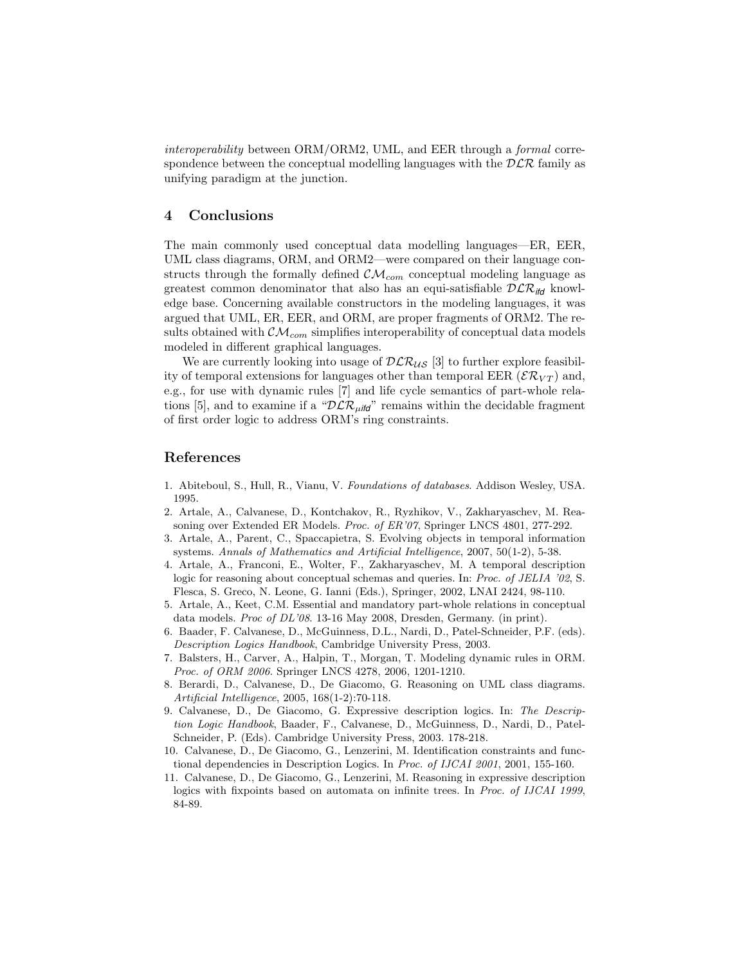interoperability between ORM/ORM2, UML, and EER through a formal correspondence between the conceptual modelling languages with the  $D\mathcal{LR}$  family as unifying paradigm at the junction.

## 4 Conclusions

The main commonly used conceptual data modelling languages—ER, EER, UML class diagrams, ORM, and ORM2—were compared on their language constructs through the formally defined  $\mathcal{CM}_{com}$  conceptual modeling language as greatest common denominator that also has an equi-satisfiable  $D\mathcal{LR}_{\mathit{lid}}$  knowledge base. Concerning available constructors in the modeling languages, it was argued that UML, ER, EER, and ORM, are proper fragments of ORM2. The results obtained with  $\mathcal{CM}_{com}$  simplifies interoperability of conceptual data models modeled in different graphical languages.

We are currently looking into usage of  $DLR_{US}$  [3] to further explore feasibility of temporal extensions for languages other than temporal EER ( $\mathcal{ER}_{VT}$ ) and, e.g., for use with dynamic rules [7] and life cycle semantics of part-whole relations [5], and to examine if a " $\mathcal{DLR}_{\mu i\mathbf{fd}}$ " remains within the decidable fragment of first order logic to address ORM's ring constraints.

## References

- 1. Abiteboul, S., Hull, R., Vianu, V. Foundations of databases. Addison Wesley, USA. 1995.
- 2. Artale, A., Calvanese, D., Kontchakov, R., Ryzhikov, V., Zakharyaschev, M. Reasoning over Extended ER Models. Proc. of ER'07, Springer LNCS 4801, 277-292.
- 3. Artale, A., Parent, C., Spaccapietra, S. Evolving objects in temporal information systems. Annals of Mathematics and Artificial Intelligence, 2007, 50(1-2), 5-38.
- 4. Artale, A., Franconi, E., Wolter, F., Zakharyaschev, M. A temporal description logic for reasoning about conceptual schemas and queries. In: Proc. of JELIA '02, S. Flesca, S. Greco, N. Leone, G. Ianni (Eds.), Springer, 2002, LNAI 2424, 98-110.
- 5. Artale, A., Keet, C.M. Essential and mandatory part-whole relations in conceptual data models. Proc of DL'08. 13-16 May 2008, Dresden, Germany. (in print).
- 6. Baader, F. Calvanese, D., McGuinness, D.L., Nardi, D., Patel-Schneider, P.F. (eds). Description Logics Handbook, Cambridge University Press, 2003.
- 7. Balsters, H., Carver, A., Halpin, T., Morgan, T. Modeling dynamic rules in ORM. Proc. of ORM 2006. Springer LNCS 4278, 2006, 1201-1210.
- 8. Berardi, D., Calvanese, D., De Giacomo, G. Reasoning on UML class diagrams. Artificial Intelligence, 2005, 168(1-2):70-118.
- 9. Calvanese, D., De Giacomo, G. Expressive description logics. In: The Description Logic Handbook, Baader, F., Calvanese, D., McGuinness, D., Nardi, D., Patel-Schneider, P. (Eds). Cambridge University Press, 2003. 178-218.
- 10. Calvanese, D., De Giacomo, G., Lenzerini, M. Identification constraints and functional dependencies in Description Logics. In Proc. of IJCAI 2001, 2001, 155-160.
- 11. Calvanese, D., De Giacomo, G., Lenzerini, M. Reasoning in expressive description logics with fixpoints based on automata on infinite trees. In Proc. of IJCAI 1999, 84-89.